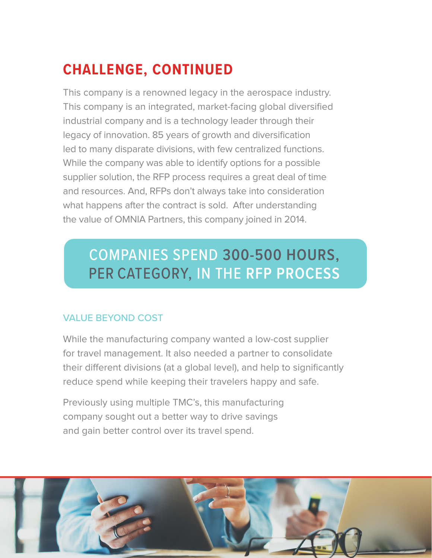# **CHALLENGE, CONTINUED**

This company is a renowned legacy in the aerospace industry. This company is an integrated, market-facing global diversified industrial company and is a technology leader through their legacy of innovation. 85 years of growth and diversification led to many disparate divisions, with few centralized functions. While the company was able to identify options for a possible supplier solution, the RFP process requires a great deal of time and resources. And, RFPs don't always take into consideration what happens after the contract is sold. After understanding the value of OMNIA Partners, this company joined in 2014.

## COMPANIES SPEND **300-500 HOURS,** PER CATEGORY, IN THE **RFP PROCESS**

## VALUE BEYOND COST

While the manufacturing company wanted a low-cost supplier for travel management. It also needed a partner to consolidate their different divisions (at a global level), and help to significantly reduce spend while keeping their travelers happy and safe.

Previously using multiple TMC's, this manufacturing company sought out a better way to drive savings and gain better control over its travel spend.

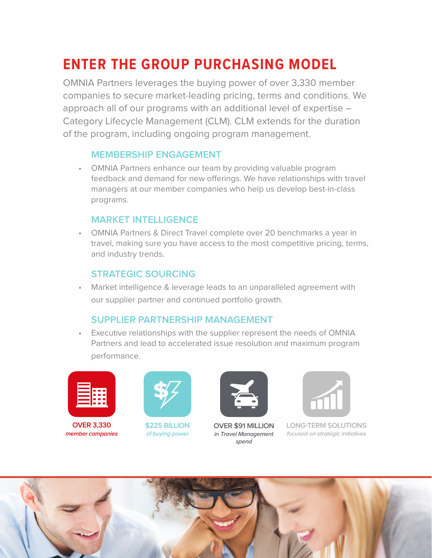## **ENTER THE GROUP PURCHASING MODEL**

OMNIA Partners leverages the buying power of over 3,330 member companies to secure market-leading pricing, terms and conditions. We approach all of our programs with an additional level of expertise – Category Lifecycle Management (CLM). CLM extends for the duration of the program, including ongoing program management.

#### **MEMBERSHIP ENGAGEMENT**

• OMNIA Partners enhance our team by providing valuable program feedback and demand for new offerings. We have relationships with travel managers at our member companies who help us develop best-in-class programs.

#### **MARKET INTELLIGENCE**

• OMNIA Partners & Direct Travel complete over 20 benchmarks a year in travel, making sure you have access to the most competitive pricing, terms, and industry trends.

#### **STRATEGIC SOURCING**

• Market intelligence & leverage leads to an unparalleled agreement with our supplier partner and continued portfolio growth.

#### **SUPPLIER PARTNERSHIP MANAGEMENT**

• Executive relationships with the supplier represent the needs of OMNIA Partners and lead to accelerated issue resolution and maximum program performance.



**OVER 3,330 member companies**



**\$4.5+ BILLION of average member annual revenue**



**OVER \$61 MILLION in Travel Management spend**



**LONG-TERM SOLUTIONS focused on strategic initiatives**

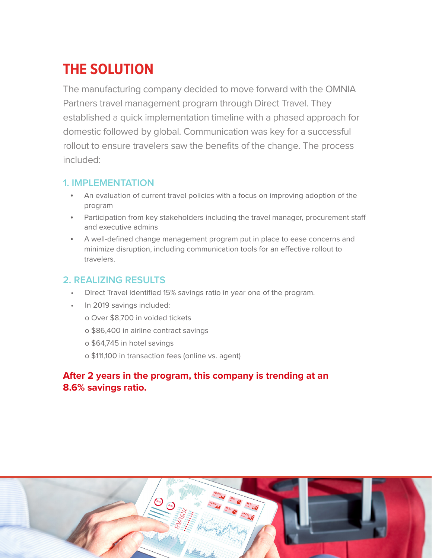# **THE SOLUTION**

The manufacturing company decided to move forward with the OMNIA Partners travel management program through Direct Travel. They established a quick implementation timeline with a phased approach for domestic followed by global. Communication was key for a successful rollout to ensure travelers saw the benefits of the change. The process included:

### **1. IMPLEMENTATION**

- An evaluation of current travel policies with a focus on improving adoption of the program
- Participation from key stakeholders including the travel manager, procurement staff and executive admins
- A well-defined change management program put in place to ease concerns and minimize disruption, including communication tools for an effective rollout to travelers.

### **2. REALIZING RESULTS**

- Direct Travel identified 15% savings ratio in year one of the program.
- In 2019 savings included:
	- o Over \$8,700 in voided tickets
	- o \$86,400 in airline contract savings
	- o \$64,745 in hotel savings
	- o \$111,100 in transaction fees (online vs. agent)

### **After 2 years in the program, this company is trending at an 8.6% savings ratio.**

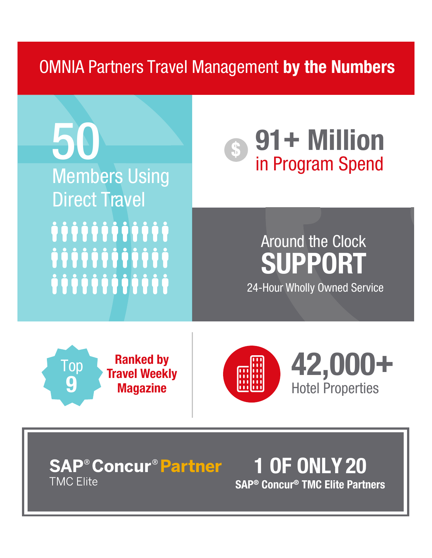# OMNIA Partners Travel Management **by the Numbers**



**SAP® Concur® TMC Elite Partners**